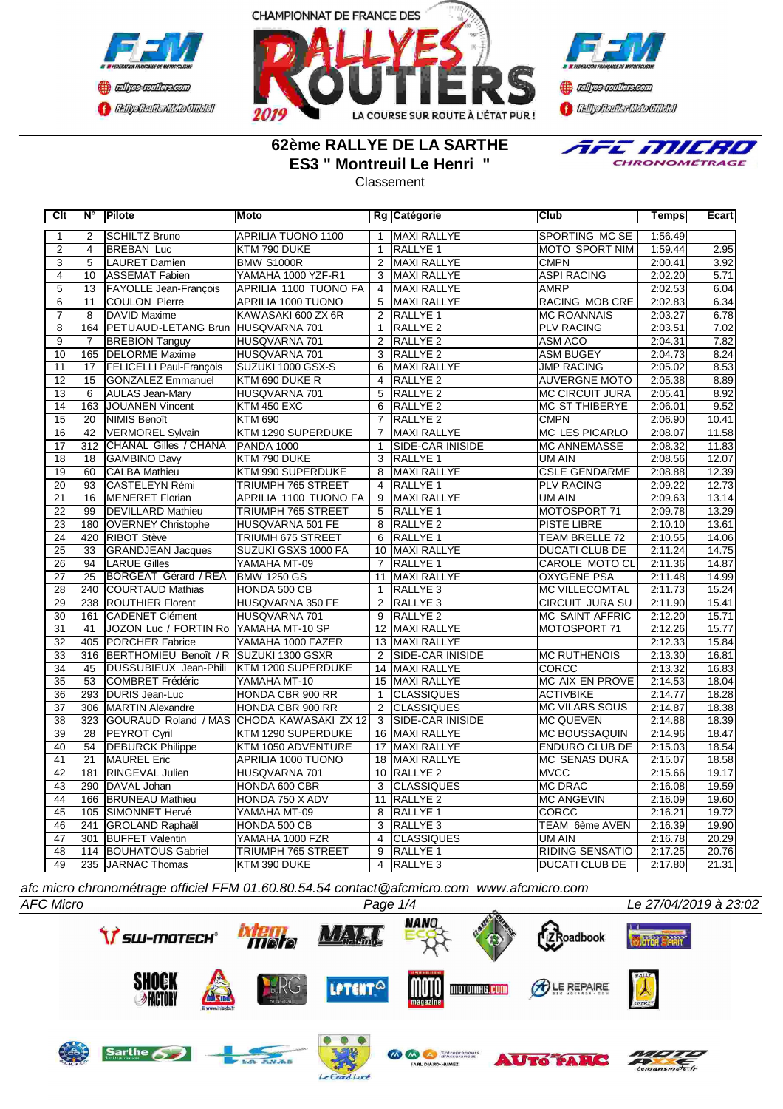



**B** refires renthas com **BEDplomerMoto Citeby** 

## **62ème RALLYE DE LA SARTHE ES3 " Montreuil Le Henri "**

**Classement** 



**Clt N° Pilote Moto Rg Catégorie Club Temps Ecart** 2 SCHILTZ Bruno APRILIA TUONO 1100 | 1 MAXI RALLYE | SPORTING MC SE | 1:56.49 2 4 BREBAN Luc KTM 790 DUKE 1 RALLYE 1 MOTO SPORT NIM 1:59.44 2.95 3 5 LAURET Damien BMW S1000R 2 MAXI RALLYE CMPN 2:00.41 3.92 4 10 ASSEMAT Fabien YAMAHA 1000 YZF-R1 3 MAXI RALLYE ASPI RACING 2:02.20 5.71 5 13 FAYOLLE Jean-François APRILIA 1100 TUONO FA 4 MAXI RALLYE AMRP 2:02.53 6.04<br>6 11 COULON Pierre APRILIA 1000 TUONO 5 MAXI RALLYE RACING MOB CRE 2:02.83 6.34 6 11 COULON Pierre APRILIA 1000 TUONO 5 MAXI RALLYE RACING MOB CRE 2:02.83 6.34 7 8 DAVID Maxime KAWASAKI 600 ZX 6R 2 RALLYE 1 MC ROANNAIS 2:03.27 6.78 8 164 PETUAUD-LETANG Brun HUSQVARNA 701 1 RALLYE 2 PLV RACING 2:03.51 7.02<br>9 7 BREBION Tanguy HUSQVARNA 701 2 RALLYE 2 ASM ACO 2:04.31 7.82 <mark>HUSQVARNA 701</mark><br>HUSQVARNA 701 10 165 DELORME Maxime HUSQVARNA 701 3 RALLYE 2 ASM BUGEY 2:04.73 8.24<br>11 17 FELICELLI Paul-François SUZUKI 1000 GSX-S 6 MAXI RALLYE JMP RACING 2:05.02 8.53 11 17 FELICELLI Paul-François 12 15 GONZALEZ Emmanuel KTM 690 DUKE R 4 RALLYE 2 AUVERGNE MOTO 2:05.38 8.89<br>13 6 AULAS Jean-Mary HUSOVARNA 701 5 RALLYE 2 MC CIRCUIT JURA 2:05.41 8.92 13 6 AULAS Jean-Mary HUSQVARNA 701 5 RALLYE 2 MC CIRCUIT JURA 2:05.41 14 | 163 JOUANEN Vincent KTM 450 EXC 6 RALLYE 2 MC ST THIBERYE 2:06.01 9.52 15 20 NIMIS Benoît KTM 690 7 RALLYE 2 CMPN 2:06.90 10.41 16 42 VERMOREL Sylvain KTM 1290 SUPERDUKE 7 MAXI RALLYE MC LES PICARLO 2:08.07 11.58 17 312 CHANAL Gilles / CHANA PANDA 1000 1 SIDE-CAR INISIDE MC ANNEMASSE 2:08.32 11.83<br>18 18 GAMBINO Daw KTM 790 DUKE 3 RALLYE 1 UM AIN 2:08.56 12.07 18 18 GAMBINO Davy KTM 790 DUKE 3 RALLYE 1 UM AIN 2:08.56 12.07 19 60 CALBA Mathieu KTM 990 SUPERDUKE 8 MAXI RALLYE CSLE GENDARME 2:08.88 12.39<br>20 93 CASTELEYN Rémi TRIUMPH 765 STREET 4 RALLYE 1 PLV RACING 2:09.22 12.73 20 CASTELEYN Rémi TRIUMPH 765 STREET<br>16 IMENERET Florian APRILIA 1100 TUONO 21 16 MENERET Florian APRILIA 1100 TUONO FA 9 MAXI RALLYE VIM AIN 2:09.63 13.14<br>22 99 DEVILLARD Mathieu TRIUMPH 765 STREET 5 RALLYE 1 MOTOSPORT 71 2:09.78 13.29 22 99 DEVILLARD Mathieu TRIUMPH 765 STREET 5 23 180 OVERNEY Christophe HUSQVARNA 501 FE 8 RALLYE 2 PISTE LIBRE 2:10.10 13.61<br>24 420 RIBOT Stève TRIUMH 675 STREET 6 RALLYE 1 TEAM BRELLE 72 2:10.55 14.06 24 420 RIBOT Stève TRIUMH 675 STREET 6 25 33 GRANDJEAN Jacques SUZUKI GSXS 1000 FA 10 MAXI RALLYE DUCATI CLUB DE 2:11.24 14.75<br>26 94 LARUE Gilles (YAMAHA MT-09 7 RALLYE 1 CAROLE MOTO CL 2:11.36 14.87 CAROLE MOTO CL 27 25 BORGEAT Gérard / REA BMW 1250 GS 11 MAXI RALLYE **OXYGENE PSA** 2:11.48 14.99 28 240 COURTAUD Mathias HONDA 500 CB 1 RALLYE 3 MC VILLECOMTAL 2:11.73 15.24<br>29 238 ROUTHIER Florent HUSQVARNA 350 FE 2 RALLYE 3 CIRCUIT JURA SU 2:11.90 15.41 29 238 ROUTHIER Florent HUSQVARNA 350 FE 2 RALLYE 3 CIRCUIT JURA SU 2:11.90 16.41.1.1.1.1.1.1.1.1.1.1.1.1.1.1.<br>20 1161 ICADENET Clément HUSQVARNA 701 9 RALLYE 2 MC SAINT AFFRIC 30 161 CADENET Clément HUSQVARNA 701 9 RALLYE 2 MC SAINT AFFRIC 2:12.20 15.71 31 41 JOZON Luc / FORTIN Ro YAMAHA MT-10 SP 12 MAXI RALLYE MOTOSPORT 71 2:12.26 15.77 32 405 PORCHER Fabrice YAMAHA 1000 FAZER 13 MAXI RALLYE 2:12.33 15.84 316 BERTHOMIEU Benoît / R SUZUKI 1300 GSXR<br>24 IDUSSUBIEUX Jean-Phili KTM 1200 SUPERDUKE 34 45 DUSSUBIEUX Jean-Phili KTM 1200 SUPERDUKE 14 MAXI RALLYE CORCC CORCC 2:13.32 16.83 35 53 COMBRET Frédéric YAMAHA MT-10 15 MAXI RALLYE MC AIX EN PROVE 2:14.53 18.04 36 293 DURIS Jean-Luc HONDA CBR 900 RR 1 CLASSIQUES ACTIVBIKE 2:14.77 18.28<br>37 306 MARTIN Alexandre HONDA CBR 900 RR 2 CLASSIQUES MC VILARS SOUS 2:14.87 18.38 306 MARTIN Alexandre 38 323 GOURAUD Roland / MAS CHODA KAWASAKI ZX 12 3 SIDE-CAR INISIDE MC QUEVEN 2:14.88 18.39<br>39 28 PEYROT Cyril KTM 1290 SUPERDUKE 16 MAXI RALLYE MC BOUSSAQUIN 2:14.96 18.47 39 28 PEYROT Cyril KTM 1290 SUPERDUKE 16 MAXI RALLYE MC BOUSSAQUIN 2:14.96 18.47<br>10 54 DEBURCK Philippe KTM 1050 ADVENTURE 17 MAXI RALLYE ENDURO CLUB DE 2:15.03 18.54 40 54 DEBURCK Philippe KTM 1050 ADVENTURE 17 MAXI RALLYE ENDURO CLUB DE 2:15.03 18.54 41 21 MAUREL Eric APRILIA 1000 TUONO 18 MAXI RALLYE MC SENAS DURA 2:15.07 18.58 42 181 RINGEVAL Julien HUSQVARNA 701 10 RALLYE 2 MVCC 2:15.66 19.17 43 290 DAVAL Johan HONDA 600 CBR 3 CLASSIQUES MC DRAC 2:16.08 19.59 44 166 BRUNEAU Mathieu HONDA 750 X ADV 11 RALLYE 2 MC ANGEVIN 2:16.09 19.60 45 105 SIMONNET Hervé YAMAHA MT-09 8 RALLYE 1 CORCC 2:16.21 19.72 46 241 GROLAND Raphaël 47 301 BUFFET Valentin YAMAHA 1000 FZR 4 CLASSIQUES UM AIN 2:16.78 20.29 48 | 114 BOUHATOUS Gabriel | TRIUMPH 765 STREET | 9 RALLYE 1 | RIDING SENSATIO | 2:17.25 20.76 49 235 JARNAC Thomas KTM 390 DUKE 4 RALLYE 3 DUCATI CLUB DE 2:17.80 21.31

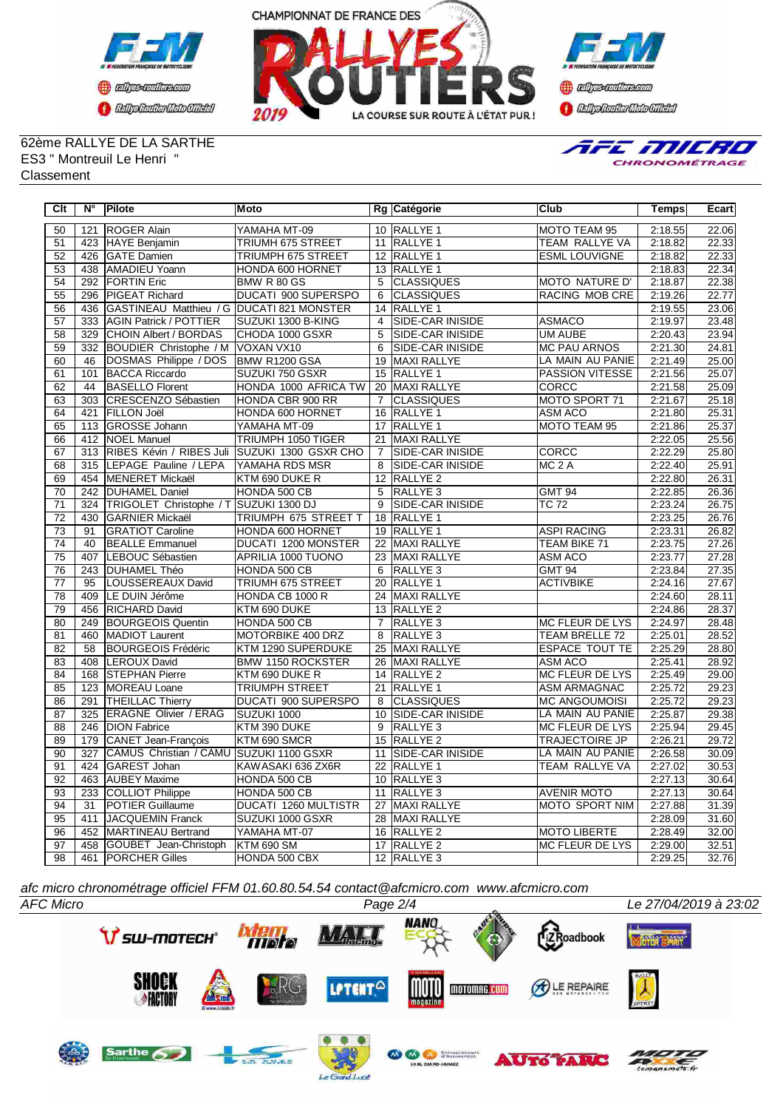





62ème RALLYE DE LA SARTHE ES3 " Montreuil Le Henri " **Classement** 



| Clt             | $N^{\circ}$      | Pilote                                    | Moto                       |                 | Rg Catégorie            | <b>Club</b>            | <b>Temps</b> | Ecart |
|-----------------|------------------|-------------------------------------------|----------------------------|-----------------|-------------------------|------------------------|--------------|-------|
| 50              | 121              | <b>ROGER Alain</b>                        | YAMAHA MT-09               |                 | 10 RALLYE 1             | <b>MOTO TEAM 95</b>    | 2:18.55      | 22.06 |
| 51              |                  | 423 HAYE Benjamin                         | TRIUMH 675 STREET          |                 | 11 RALLYE 1             | <b>TEAM RALLYE VA</b>  | 2:18.82      | 22.33 |
| 52              | 426              | <b>IGATE Damien</b>                       | <b>TRIUMPH 675 STREET</b>  |                 | 12 RALLYE 1             | <b>ESML LOUVIGNE</b>   | 2:18.82      | 22.33 |
| 53              | 438              | <b>AMADIEU Yoann</b>                      | HONDA 600 HORNET           |                 | 13 RALLYE 1             |                        | 2:18.83      | 22.34 |
| $\overline{54}$ | 292              | <b>FORTIN Eric</b>                        | BMW R 80 GS                | $\overline{5}$  | <b>CLASSIQUES</b>       | <b>MOTO NATURE D'</b>  | 2:18.87      | 22.38 |
| 55              | 296              | <b>PIGEAT Richard</b>                     | <b>DUCATI 900 SUPERSPO</b> | 6               | <b>CLASSIQUES</b>       | <b>RACING MOB CRE</b>  | 2:19.26      | 22.77 |
| 56              | 436              | GASTINEAU Matthieu / G DUCATI 821 MONSTER |                            |                 | 14 RALLYE 1             |                        | 2:19.55      | 23.06 |
| 57              | 333              | <b>AGIN Patrick / POTTIER</b>             | SUZUKI 1300 B-KING         | $\overline{4}$  | <b>SIDE-CAR INISIDE</b> | <b>ASMACO</b>          | 2:19.97      | 23.48 |
| $\overline{58}$ | 329              | CHOIN Albert / BORDAS                     | CHODA 1000 GSXR            | $\overline{5}$  | <b>SIDE-CAR INISIDE</b> | <b>UM AUBE</b>         | 2:20.43      | 23.94 |
| 59              | 332              | BOUDIER Christophe / M VOXAN VX10         |                            | 6               | <b>SIDE-CAR INISIDE</b> | <b>MC PAU ARNOS</b>    | 2:21.30      | 24.81 |
| 60              | 46               | DOSMAS Philippe / DOS                     | BMW R1200 GSA              | $\overline{19}$ | <b>MAXI RALLYE</b>      | LA MAIN AU PANIE       | 2:21.49      | 25.00 |
| 61              | 101              | <b>BACCA Riccardo</b>                     | SUZUKI 750 GSXR            | 15              | RALLYE <sub>1</sub>     | <b>PASSION VITESSE</b> | 2:21.56      | 25.07 |
| 62              | 44               | <b>BASELLO Florent</b>                    | HONDA 1000 AFRICA TW       |                 | 20 MAXI RALLYE          | <b>CORCC</b>           | 2:21.58      | 25.09 |
| 63              | 303              | CRESCENZO Sébastien                       | HONDA CBR 900 RR           | $\overline{7}$  | <b>CLASSIQUES</b>       | MOTO SPORT 71          | 2:21.67      | 25.18 |
| 64              | 421              | <b>FILLON Joël</b>                        | HONDA 600 HORNET           |                 | 16 RALLYE 1             | ASM ACO                | 2:21.80      | 25.31 |
| 65              |                  | 113 GROSSE Johann                         | YAMAHA MT-09               |                 | 17 RALLYE 1             | MOTO TEAM 95           | 2:21.86      | 25.37 |
| 66              | 412              | NOEL Manuel                               | <b>TRIUMPH 1050 TIGER</b>  | 21              | MAXI RALLYE             |                        | 2:22.05      | 25.56 |
| 67              |                  | 313 RIBES Kévin / RIBES Juli              | SUZUKI 1300 GSXR CHO       | $\overline{7}$  | <b>SIDE-CAR INISIDE</b> | <b>CORCC</b>           | 2:22.29      | 25.80 |
| 68              | 315              | LEPAGE Pauline / LEPA                     | YAMAHA RDS MSR             | 8               | SIDE-CAR INISIDE        | MC <sub>2</sub> A      | 2:22.40      | 25.91 |
| 69              | 454              | <b>MENERET Mickaël</b>                    | KTM 690 DUKE R             | $\overline{12}$ | <b>RALLYE 2</b>         |                        | 2:22.80      | 26.31 |
| 70              | 242              | <b>DUHAMEL Daniel</b>                     | HONDA 500 CB               | 5               | RALLYE <sub>3</sub>     | <b>GMT 94</b>          | 2:22.85      | 26.36 |
| 71              | 324              | TRIGOLET Christophe / T SUZUKI 1300 DJ    |                            | $\overline{9}$  | <b>SIDE-CAR INISIDE</b> | <b>TC 72</b>           | 2:23.24      | 26.75 |
| $\overline{72}$ | 430              | <b>GARNIER Mickaël</b>                    | TRIUMPH 675 STREET T       | 18              | <b>RALLYE 1</b>         |                        | 2:23.25      | 26.76 |
| 73              | 91               | <b>GRATIOT Caroline</b>                   | HONDA 600 HORNET           |                 | 19 RALLYE 1             | <b>ASPI RACING</b>     | 2:23.31      | 26.82 |
| 74              | 40               | <b>BEALLE Emmanuel</b>                    | DUCATI 1200 MONSTER        |                 | 22 MAXI RALLYE          | TEAM BIKE 71           | 2:23.75      | 27.26 |
| 75              | 407              | LEBOUC Sébastien                          | APRILIA 1000 TUONO         |                 | 23 MAXI RALLYE          | ASM ACO                | 2:23.77      | 27.28 |
| 76              | 243              | <b>DUHAMEL Théo</b>                       | HONDA 500 CB               | 6               | <b>RALLYE3</b>          | <b>GMT 94</b>          | 2:23.84      | 27.35 |
| $\overline{77}$ | 95               | LOUSSEREAUX David                         | <b>TRIUMH 675 STREET</b>   | 20              | <b>RALLYE 1</b>         | <b>ACTIVBIKE</b>       | 2:24.16      | 27.67 |
| 78              | 409              | LE DUIN Jérôme                            | HONDA CB 1000 R            | $\overline{24}$ | <b>MAXI RALLYE</b>      |                        | 2:24.60      | 28.11 |
| 79              | 456              | <b>RICHARD David</b>                      | KTM 690 DUKE               |                 | 13 RALLYE 2             |                        | 2:24.86      | 28.37 |
| 80              | 249              | <b>BOURGEOIS Quentin</b>                  | HONDA 500 CB               | $\overline{7}$  | RALLYE <sub>3</sub>     | <b>MC FLEUR DE LYS</b> | 2:24.97      | 28.48 |
| 81              | 460              | MADIOT Laurent                            | <b>MOTORBIKE 400 DRZ</b>   | 8               | RALLYE <sub>3</sub>     | <b>TEAM BRELLE 72</b>  | 2:25.01      | 28.52 |
| 82              | 58               | <b>BOURGEOIS Frédéric</b>                 | KTM 1290 SUPERDUKE         | 25              | MAXI RALLYE             | <b>ESPACE TOUT TE</b>  | 2:25.29      | 28.80 |
| 83              | 408              | LEROUX David                              | <b>BMW 1150 ROCKSTER</b>   |                 | 26 MAXI RALLYE          | ASM ACO                | 2:25.41      | 28.92 |
| $\overline{84}$ | 168              | <b>STEPHAN Pierre</b>                     | KTM 690 DUKE R             |                 | 14 RALLYE 2             | <b>MC FLEUR DE LYS</b> | 2:25.49      | 29.00 |
| 85              | 123              | MOREAU Loane                              | <b>TRIUMPH STREET</b>      | 21              | RALLYE <sub>1</sub>     | <b>ASM ARMAGNAC</b>    | 2:25.72      | 29.23 |
| 86              | 291              | <b>THEILLAC Thierry</b>                   | DUCATI 900 SUPERSPO        | 8               | <b>CLASSIQUES</b>       | <b>MC ANGOUMOISI</b>   | 2:25.72      | 29.23 |
| 87              | 325              | <b>ERAGNE Olivier / ERAG</b>              | SUZUKI 1000                | 10              | <b>SIDE-CAR INISIDE</b> | LA MAIN AU PANIE       | 2:25.87      | 29.38 |
| 88              | 246              | <b>DION Fabrice</b>                       | KTM 390 DUKE               | $\overline{9}$  | RALLYE <sub>3</sub>     | MC FLEUR DE LYS        | 2:25.94      | 29.45 |
| 89              | 179              | CANET Jean-François                       | KTM 690 SMCR               | $\overline{15}$ | <b>RALLYE 2</b>         | <b>TRAJECTOIRE JP</b>  | 2:26.21      | 29.72 |
| $\overline{90}$ | $\overline{327}$ | <b>CAMUS Christian / CAMU</b>             | SUZUKI 1100 GSXR           | 11              | <b>SIDE-CAR INISIDE</b> | LA MAIN AU PANIE       | 2:26.58      | 30.09 |
| 91              | 424              | GAREST Johan                              | KAWASAKI 636 ZX6R          |                 | 22 RALLYE 1             | <b>TEAM RALLYE VA</b>  | 2:27.02      | 30.53 |
| 92              | 463              | <b>AUBEY Maxime</b>                       | HONDA 500 CB               |                 | 10 RALLYE 3             |                        | 2:27.13      | 30.64 |
| 93              | 233              | COLLIOT Philippe                          | HONDA 500 CB               | 11              | RALLYE <sub>3</sub>     | <b>AVENIR MOTO</b>     | 2:27.13      | 30.64 |
| $\overline{94}$ | 31               | POTIER Guillaume                          | DUCATI 1260 MULTISTR       | 27              | MAXI RALLYE             | <b>MOTO SPORT NIM</b>  | 2:27.88      | 31.39 |
| 95              | 411              | JACQUEMIN Franck                          | SUZUKI 1000 GSXR           | 28              | MAXI RALLYE             |                        | 2:28.09      | 31.60 |
| 96              | 452              | MARTINEAU Bertrand                        | YAMAHA MT-07               |                 | 16 RALLYE 2             | <b>MOTO LIBERTE</b>    | 2:28.49      | 32.00 |
| 97              | 458              | GOUBET Jean-Christoph                     | KTM 690 SM                 |                 | 17 RALLYE 2             | MC FLEUR DE LYS        | 2:29.00      | 32.51 |
| 98              | 461              | <b>PORCHER Gilles</b>                     | HONDA 500 CBX              |                 | 12 RALLYE 3             |                        | 2:29.25      | 32.76 |

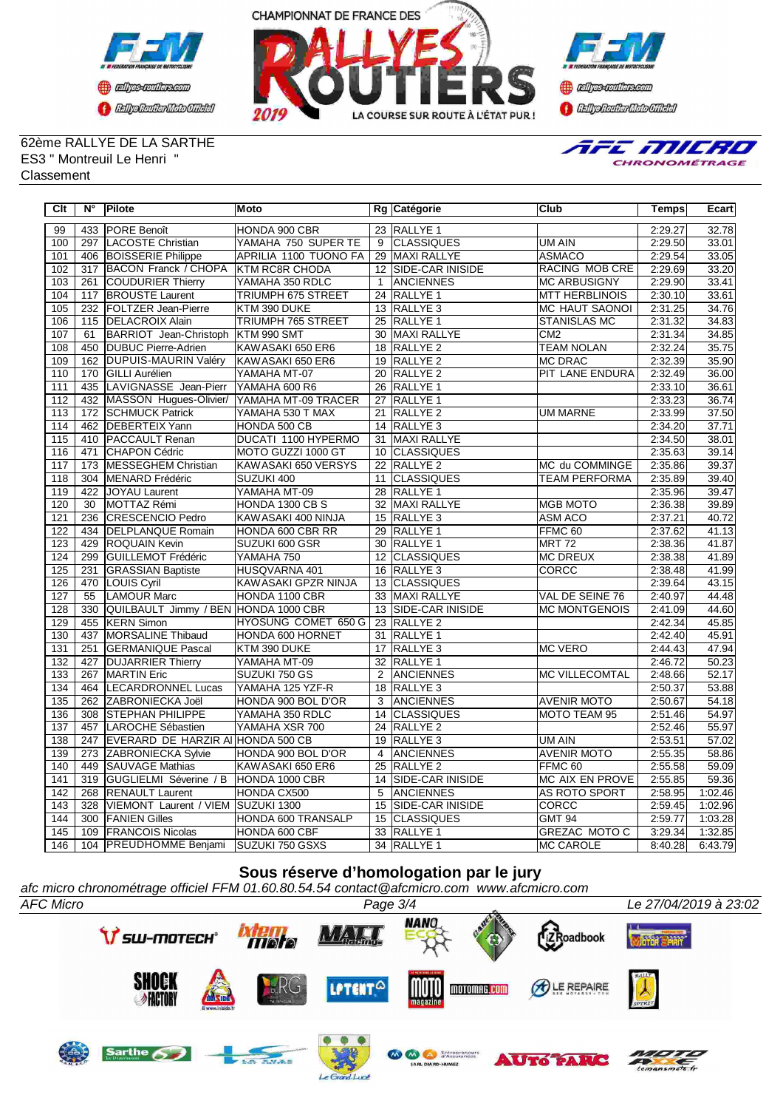





62ème RALLYE DE LA SARTHE ES3 " Montreuil Le Henri " **Classement** 



| Clt              | $N^{\circ}$ | Pilote                                         | <b>Moto</b>                         |                 | Rg Catégorie                 | Club                                  | <b>Temps</b>       | Ecart              |
|------------------|-------------|------------------------------------------------|-------------------------------------|-----------------|------------------------------|---------------------------------------|--------------------|--------------------|
| 99               | 433         | <b>PORE</b> Benoît                             | HONDA 900 CBR                       |                 | 23 RALLYE 1                  |                                       | 2:29.27            | 32.78              |
| 100              | 297         | LACOSTE Christian                              | YAMAHA 750 SUPER TE                 | 9               | <b>CLASSIQUES</b>            | UM AIN                                | 2:29.50            | 33.01              |
| 101              | 406         | <b>BOISSERIE Philippe</b>                      | APRILIA 1100 TUONO FA               |                 | 29 MAXI RALLYE               | <b>ASMACO</b>                         | 2:29.54            | 33.05              |
| 102              | 317         | <b>BACON Franck / CHOPA</b>                    | <b>KTM RC8R CHODA</b>               |                 | 12 SIDE-CAR INISIDE          | RACING MOB CRE                        | 2:29.69            | 33.20              |
| 103              | 261         | <b>COUDURIER Thierry</b>                       | YAMAHA 350 RDLC                     | $\mathbf{1}$    | ANCIENNES                    | <b>MC ARBUSIGNY</b>                   | 2:29.90            | 33.41              |
| 104              | 117         | <b>BROUSTE Laurent</b>                         | TRIUMPH 675 STREET                  |                 | 24 RALLYE 1                  | <b>MTT HERBLINOIS</b>                 | 2:30.10            | 33.61              |
| 105              | 232         | <b>FOLTZER Jean-Pierre</b>                     | KTM 390 DUKE                        |                 | 13 RALLYE 3                  | <b>MC HAUT SAONOI</b>                 | 2:31.25            | 34.76              |
| 106              |             | 115   DELACROIX Alain                          | <b>TRIUMPH 765 STREET</b>           |                 | 25 RALLYE 1                  | <b>STANISLAS MC</b>                   | 2:31.32            | 34.83              |
| 107              | 61          | BARRIOT Jean-Christoph KTM 990 SMT             |                                     |                 | 30 MAXI RALLYE               | CM2                                   | 2:31.34            | 34.85              |
| 108              |             | 450 DUBUC Pierre-Adrien                        | KAWASAKI 650 ER6                    |                 | 18 RALLYE 2                  | <b>TEAM NOLAN</b>                     | 2:32.24            | 35.75              |
| 109              | 162         | <b>DUPUIS-MAURIN Valéry</b>                    | KAWASAKI 650 ER6                    |                 | 19 RALLYE 2                  | <b>MC DRAC</b>                        | 2:32.39            | 35.90              |
| 110              |             | 170 GILLI Aurélien                             | YAMAHA MT-07                        |                 | 20 RALLYE 2                  | PIT LANE ENDURA                       | 2:32.49            | 36.00              |
| 111              | 435         | LAVIGNASSE Jean-Pierr YAMAHA 600 R6            |                                     |                 | 26 RALLYE 1                  |                                       | 2:33.10            | 36.61              |
| 112              |             | 432 MASSON Hugues-Olivier/ YAMAHA MT-09 TRACER |                                     |                 | 27 RALLYE 1                  |                                       | 2:33.23            | 36.74              |
| 113              |             | 172 SCHMUCK Patrick                            | YAMAHA 530 T MAX                    |                 | 21 RALLYE 2                  | <b>UM MARNE</b>                       | 2:33.99            | 37.50              |
| 114              |             | 462 DEBERTEIX Yann                             | HONDA 500 CB                        |                 | 14 RALLYE 3                  |                                       | 2:34.20            | 37.71              |
| 115              |             | 410 PACCAULT Renan                             | DUCATI 1100 HYPERMO                 | 31              | <b>MAXI RALLYE</b>           |                                       | 2:34.50            | 38.01              |
| 116              |             | 471 CHAPON Cédric                              | MOTO GUZZI 1000 GT                  |                 | 10 CLASSIQUES                |                                       | 2:35.63            | 39.14              |
| $\overline{117}$ | 173         | MESSEGHEM Christian                            | KAWASAKI 650 VERSYS                 |                 | 22 RALLYE 2                  | MC du COMMINGE                        | 2:35.86            | 39.37              |
| 118              | 304         | MENARD Frédéric                                | SUZUKI 400                          |                 | 11 CLASSIQUES                | <b>TEAM PERFORMA</b>                  | 2:35.89            | 39.40              |
| 119              | 422         | JOYAU Laurent                                  | YAMAHA MT-09                        |                 | 28 RALLYE 1                  |                                       | 2:35.96            | 39.47              |
| 120              | 30          | MOTTAZ Rémi                                    | HONDA 1300 CB S                     |                 | 32 MAXI RALLYE               | MGB MOTO                              | 2:36.38            | 39.89              |
| 121              | 236         | <b>CRESCENCIO Pedro</b>                        | KAWASAKI 400 NINJA                  |                 | 15 RALLYE 3                  | ASM ACO                               | 2:37.21            | 40.72              |
| 122              | 434         | DELPLANQUE Romain                              | HONDA 600 CBR RR                    |                 | 29 RALLYE 1                  | FFMC 60                               | 2:37.62            | 41.13              |
| 123              | 429         | <b>ROQUAIN Kevin</b>                           | SUZUKI 600 GSR                      |                 | 30 RALLYE 1                  | MRT <sub>72</sub>                     | 2:38.36            | 41.87              |
| 124              | 299         | GUILLEMOT Frédéric                             | YAMAHA 750                          |                 | 12 CLASSIQUES                | <b>MC DREUX</b>                       | 2:38.38            | 41.89              |
| 125              | 231         | <b>GRASSIAN Baptiste</b>                       | HUSQVARNA 401                       |                 | 16 RALLYE 3                  | CORCC                                 | 2:38.48            | 41.99              |
| 126              |             | 470 LOUIS Cyril                                | KAWASAKI GPZR NINJA                 |                 | 13 CLASSIQUES                |                                       | 2:39.64            | 43.15              |
| 127              | 55          | LAMOUR Marc                                    | HONDA 1100 CBR                      |                 | 33 MAXI RALLYE               | VAL DE SEINE 76                       | 2:40.97            | 44.48              |
| 128              | 330         | QUILBAULT Jimmy / BEN HONDA 1000 CBR           |                                     |                 | 13 SIDE-CAR INISIDE          | <b>MC MONTGENOIS</b>                  | 2:41.09            | 44.60              |
| 129              | 455         | <b>IKERN Simon</b>                             | HYOSUNG COMET 650 G                 |                 | 23 RALLYE 2                  |                                       | 2:42.34            | 45.85              |
| 130              | 437         | MORSALINE Thibaud                              | HONDA 600 HORNET                    |                 | 31 RALLYE 1                  |                                       | 2:42.40            | 45.91              |
| 131              | 251         | <b>GERMANIQUE Pascal</b>                       | KTM 390 DUKE                        | 17              | <b>RALLYE 3</b>              | <b>MC VERO</b>                        | 2:44.43            | 47.94              |
| 132              | 427         | <b>DUJARRIER Thierry</b>                       | YAMAHA MT-09                        |                 | 32 RALLYE 1                  |                                       | 2:46.72            | 50.23              |
| 133              | 267         | <b>MARTIN Eric</b>                             | SUZUKI 750 GS                       | 2               | <b>ANCIENNES</b>             | <b>MC VILLECOMTAL</b>                 | 2:48.66            | 52.17              |
| 134              | 464         | <b>LECARDRONNEL Lucas</b>                      | YAMAHA 125 YZF-R                    |                 | 18 RALLYE 3                  |                                       | 2:50.37            | 53.88              |
| 135              | 262         | ZABRONIECKA Joël                               | HONDA 900 BOL D'OR                  | 3               | <b>ANCIENNES</b>             | <b>AVENIR MOTO</b>                    | 2:50.67            | 54.18              |
| 136              |             | 308 STEPHAN PHILIPPE                           | YAMAHA 350 RDLC                     |                 | 14 CLASSIQUES                | MOTO TEAM 95                          | 2:51.46            | 54.97              |
| 137              | 457         | LAROCHE Sébastien                              | YAMAHA XSR 700                      |                 | 24 RALLYE 2                  |                                       | 2:52.46            | 55.97              |
| 138              | 247         | EVERARD DE HARZIR AI HONDA 500 CB              |                                     |                 | 19 RALLYE 3                  | UM AIN                                | 2:53.51            | 57.02              |
| 139              | 273         | <b>ZABRONIECKA Sylvie</b>                      | HONDA 900 BOL D'OR                  | $\overline{4}$  | <b>ANCIENNES</b>             | <b>AVENIR MOTO</b>                    | 2:55.35            | 58.86              |
| 140              |             | 449 SAUVAGE Mathias                            | KAWASAKI 650 ER6                    |                 | 25 RALLYE 2                  | FFMC <sub>60</sub>                    | 2:55.58            | 59.09              |
| 141              | 319         | GUGLIELMI Séverine / B                         | HONDA 1000 CBR                      |                 | 14 SIDE-CAR INISIDE          | <b>MC AIX EN PROVE</b>                | 2:55.85            | 59.36              |
| 142              | 268         | <b>RENAULT Laurent</b>                         | HONDA CX500                         | 5               | <b>ANCIENNES</b>             | AS ROTO SPORT                         | 2:58.95            | 1:02.46            |
| 143              | 328         | VIEMONT Laurent / VIEM SUZUKI 1300             |                                     | $\overline{15}$ | <b>SIDE-CAR INISIDE</b>      | <b>CORCC</b>                          | 2:59.45            | 1:02.96            |
| 144<br>145       | 300         | <b>FANIEN Gilles</b><br>109 FRANCOIS Nicolas   | HONDA 600 TRANSALP<br>HONDA 600 CBF |                 | 15 CLASSIQUES<br>33 RALLYE 1 | <b>GMT 94</b><br><b>GREZAC MOTO C</b> | 2:59.77<br>3:29.34 | 1:03.28<br>1:32.85 |
| 146              |             | 104 PREUDHOMME Benjami                         |                                     |                 | 34 RALLYE 1                  | <b>MC CAROLE</b>                      | 8:40.28            | 6:43.79            |
|                  |             |                                                | <b>SUZUKI 750 GSXS</b>              |                 |                              |                                       |                    |                    |

## **Sous réserve d'homologation par le jury**